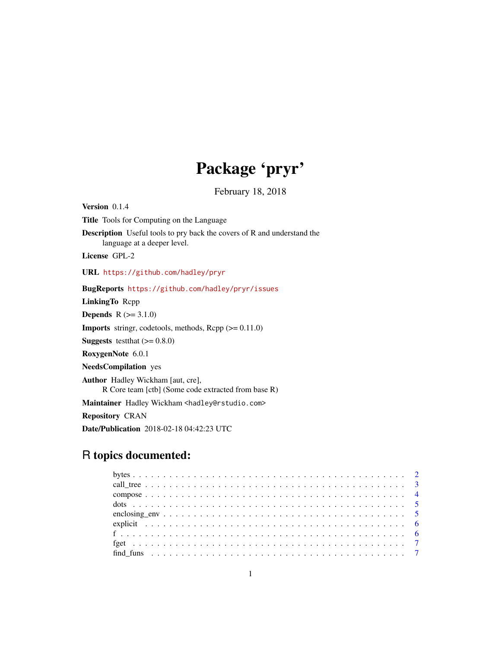# Package 'pryr'

February 18, 2018

<span id="page-0-0"></span>Version 0.1.4 Title Tools for Computing on the Language Description Useful tools to pry back the covers of R and understand the language at a deeper level. License GPL-2 URL <https://github.com/hadley/pryr> BugReports <https://github.com/hadley/pryr/issues> LinkingTo Rcpp **Depends**  $R (= 3.1.0)$ **Imports** stringr, codetools, methods,  $\text{Rcpp}$  ( $\geq 0.11.0$ ) **Suggests** test that  $(>= 0.8.0)$ RoxygenNote 6.0.1 NeedsCompilation yes Author Hadley Wickham [aut, cre], R Core team [ctb] (Some code extracted from base R) Maintainer Hadley Wickham <hadley@rstudio.com> Repository CRAN

Date/Publication 2018-02-18 04:42:23 UTC

# R topics documented: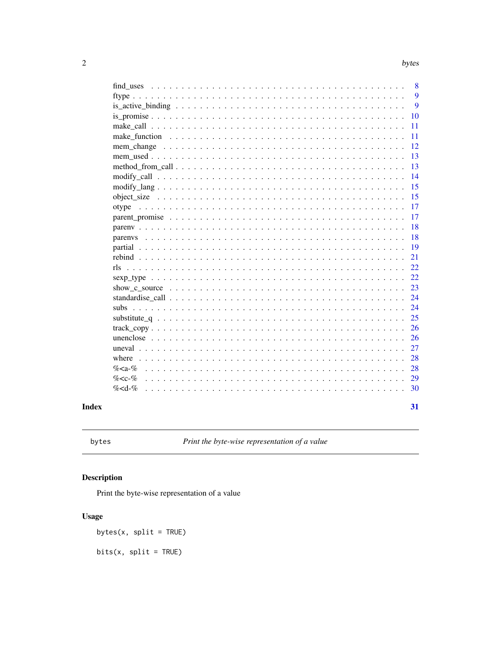<span id="page-1-0"></span>

|                                                                                                                       | 8  |
|-----------------------------------------------------------------------------------------------------------------------|----|
|                                                                                                                       | 9  |
|                                                                                                                       | 9  |
|                                                                                                                       | 10 |
|                                                                                                                       | 11 |
|                                                                                                                       | 11 |
| mem change                                                                                                            | 12 |
|                                                                                                                       | 13 |
|                                                                                                                       | 13 |
|                                                                                                                       | 14 |
| $\text{modify\_lang} \dots \dots \dots \dots \dots \dots \dots \dots \dots \dots \dots \dots \dots \dots \dots \dots$ | 15 |
|                                                                                                                       | 15 |
| otype                                                                                                                 | 17 |
|                                                                                                                       | 17 |
|                                                                                                                       | 18 |
|                                                                                                                       | 18 |
|                                                                                                                       | 19 |
|                                                                                                                       | 21 |
| rls                                                                                                                   | 22 |
|                                                                                                                       | 22 |
|                                                                                                                       | 23 |
|                                                                                                                       | 24 |
| subs                                                                                                                  | 24 |
|                                                                                                                       | 25 |
|                                                                                                                       | 26 |
|                                                                                                                       | 26 |
|                                                                                                                       | 27 |
| where                                                                                                                 | 28 |
| $% -%$                                                                                                                | 28 |
| $% -%$                                                                                                                | 29 |
| $\%$ < d- $\%$                                                                                                        | 30 |
|                                                                                                                       |    |
|                                                                                                                       | 31 |

# **Index**

```
bytes
```
Print the byte-wise representation of a value

# Description

Print the byte-wise representation of a value

# **Usage**

bytes(x, split =  $TRUE$ )

 $bits(x, split = TRUE)$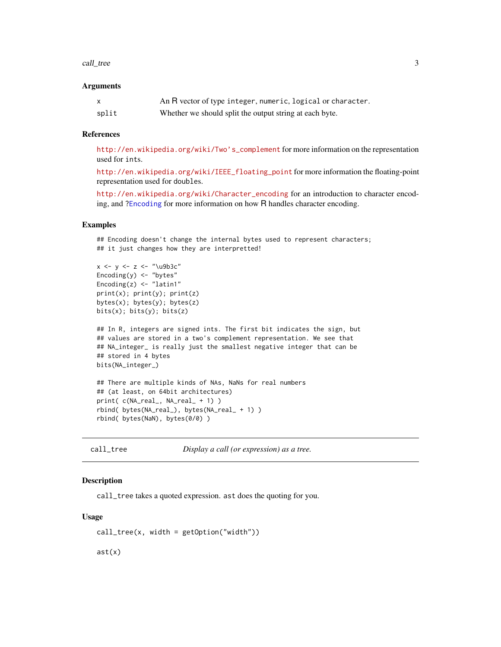#### <span id="page-2-0"></span>call\_tree 3

#### **Arguments**

|       | An R vector of type integer, numeric, logical or character. |
|-------|-------------------------------------------------------------|
| split | Whether we should split the output string at each byte.     |

#### References

[http://en.wikipedia.org/wiki/Two's\\_complement](http://en.wikipedia.org/wiki/Two) for more information on the representation used for ints.

[http://en.wikipedia.org/wiki/IEEE\\_floating\\_point](http://en.wikipedia.org/wiki/IEEE_floating_point) for more information the floating-point representation used for doubles.

[http://en.wikipedia.org/wiki/Character\\_encoding](http://en.wikipedia.org/wiki/Character_encoding) for an introduction to character encoding, and [?Encoding](#page-0-0) for more information on how R handles character encoding.

#### Examples

## Encoding doesn't change the internal bytes used to represent characters; ## it just changes how they are interpretted!

```
x \leftarrow y \leftarrow z \leftarrow "\u9b3c"
Encoding(y) < - "bytes"
Encoding(z) < - "latin1"
print(x); print(y); print(z)bytes(x); bytes(y); bytes(z)
bits(x); bits(y); bits(z)
```

```
## In R, integers are signed ints. The first bit indicates the sign, but
## values are stored in a two's complement representation. We see that
## NA_integer_ is really just the smallest negative integer that can be
## stored in 4 bytes
bits(NA_integer_)
```

```
## There are multiple kinds of NAs, NaNs for real numbers
## (at least, on 64bit architectures)
print( c(NA_real_, NA_real_ + 1) )
rbind( bytes(NA_real_), bytes(NA_real_ + 1) )
rbind( bytes(NaN), bytes(0/0) )
```
call\_tree *Display a call (or expression) as a tree.*

#### Description

call\_tree takes a quoted expression. ast does the quoting for you.

#### Usage

 $call\_tree(x, width = getOption("width"))$ 

ast(x)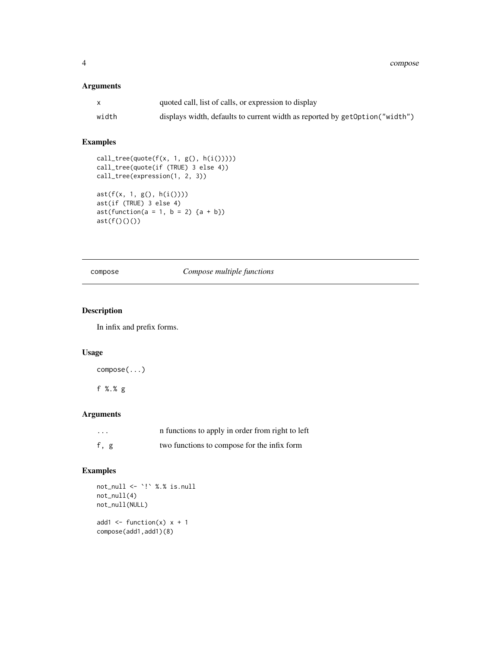<span id="page-3-0"></span>4 compose

## Arguments

| $\mathsf{x}$ | quoted call, list of calls, or expression to display                          |
|--------------|-------------------------------------------------------------------------------|
| width        | displays width, defaults to current width as reported by get Option ("width") |

#### Examples

```
call_tree(quote(f(x, 1, g(), h(i()))))
call_tree(quote(if (TRUE) 3 else 4))
call_tree(expression(1, 2, 3))
ast(f(x, 1, g(), h(i())))
ast(if (TRUE) 3 else 4)
ast(function(a = 1, b = 2) {a + b})ast(f())()()
```
compose *Compose multiple functions*

#### Description

In infix and prefix forms.

#### Usage

compose(...)

f %.% g

### Arguments

| $\cdots$ | n functions to apply in order from right to left |
|----------|--------------------------------------------------|
| f, g     | two functions to compose for the infix form      |

```
not_null <- `!` %.% is.null
not_null(4)
not_null(NULL)
add1 <- function(x) x + 1compose(add1,add1)(8)
```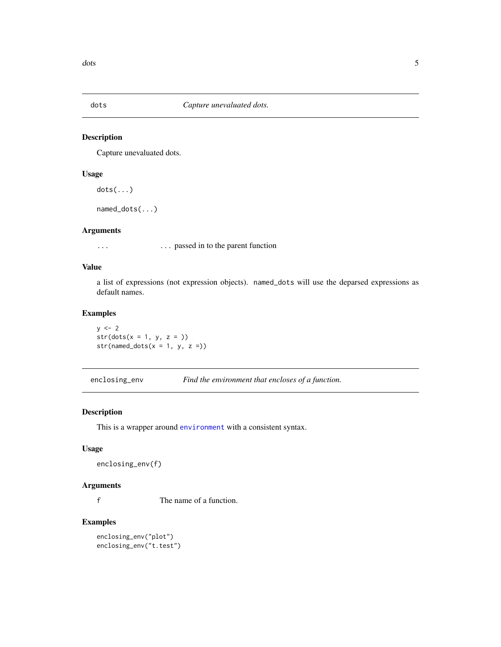<span id="page-4-0"></span>

Capture unevaluated dots.

#### Usage

 $dots($ ... $)$ 

named\_dots(...)

#### Arguments

... **passed in to the parent function** 

#### Value

a list of expressions (not expression objects). named\_dots will use the deparsed expressions as default names.

#### Examples

 $y \le -2$  $str(dots(x = 1, y, z = ))$  $str(named\_dots(x = 1, y, z =))$ 

enclosing\_env *Find the environment that encloses of a function.*

#### Description

This is a wrapper around [environment](#page-0-0) with a consistent syntax.

#### Usage

```
enclosing_env(f)
```
### Arguments

f The name of a function.

#### Examples

enclosing\_env("plot") enclosing\_env("t.test")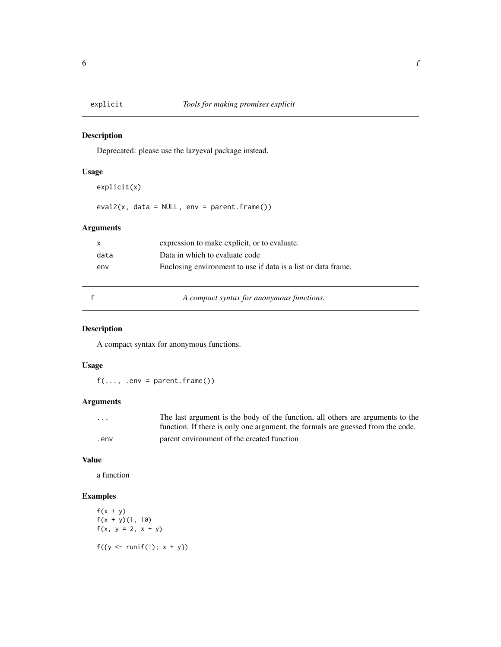<span id="page-5-0"></span>

Deprecated: please use the lazyeval package instead.

#### Usage

```
explicit(x)
eval2(x, data = NULL, env = parent.frame())
```
# Arguments

| $\mathsf{X}$ | expression to make explicit, or to evaluate.                  |
|--------------|---------------------------------------------------------------|
| data         | Data in which to evaluate code                                |
| env          | Enclosing environment to use if data is a list or data frame. |
|              |                                                               |

f *A compact syntax for anonymous functions.*

# Description

A compact syntax for anonymous functions.

#### Usage

 $f(\ldots, .env = parent-frame())$ 

#### Arguments

| .    | The last argument is the body of the function, all others are arguments to the  |
|------|---------------------------------------------------------------------------------|
|      | function. If there is only one argument, the formals are guessed from the code. |
| .env | parent environment of the created function                                      |

#### Value

a function

```
f(x + y)f(x + y)(1, 10)f(x, y = 2, x + y)f({y \leftarrow runif(1); x + y})
```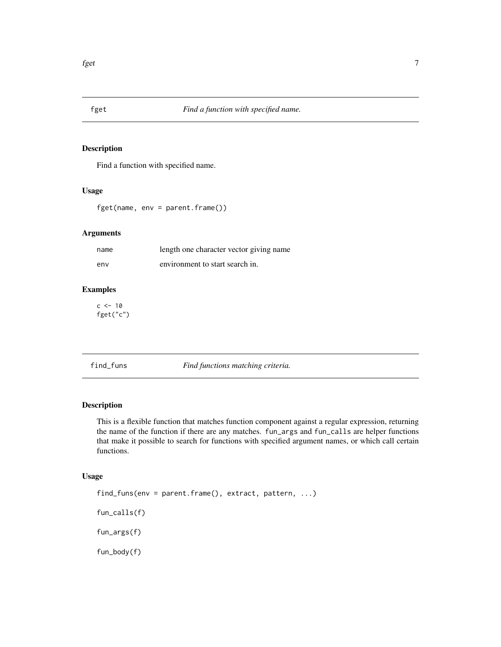<span id="page-6-0"></span>

Find a function with specified name.

#### Usage

fget(name, env = parent.frame())

#### Arguments

| name | length one character vector giving name |
|------|-----------------------------------------|
| env  | environment to start search in.         |

#### Examples

 $c < -10$ fget("c")

find\_funs *Find functions matching criteria.*

#### Description

This is a flexible function that matches function component against a regular expression, returning the name of the function if there are any matches. fun\_args and fun\_calls are helper functions that make it possible to search for functions with specified argument names, or which call certain functions.

#### Usage

find\_funs(env = parent.frame(), extract, pattern, ...) fun\_calls(f) fun\_args(f) fun\_body(f)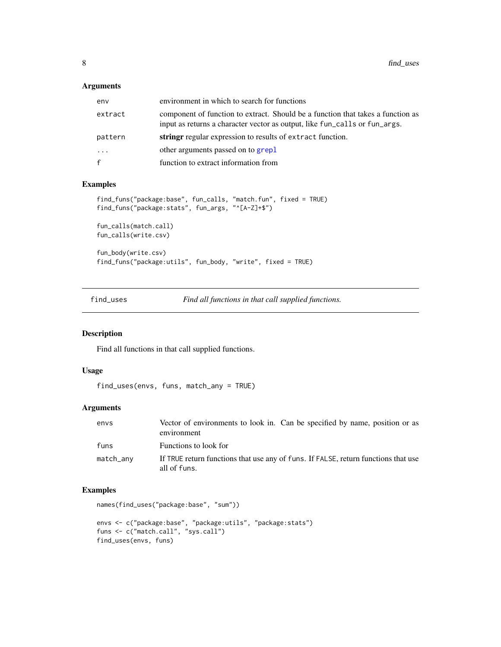<span id="page-7-0"></span>

| env     | environment in which to search for functions                                                                                                                  |
|---------|---------------------------------------------------------------------------------------------------------------------------------------------------------------|
| extract | component of function to extract. Should be a function that takes a function as<br>input as returns a character vector as output, like fun_calls or fun_args. |
| pattern | string regular expression to results of extract function.                                                                                                     |
| .       | other arguments passed on to grepl                                                                                                                            |
| f       | function to extract information from                                                                                                                          |
|         |                                                                                                                                                               |

#### Examples

```
find_funs("package:base", fun_calls, "match.fun", fixed = TRUE)
find_funs("package:stats", fun_args, "^[A-Z]+$")
fun_calls(match.call)
fun_calls(write.csv)
fun_body(write.csv)
find_funs("package:utils", fun_body, "write", fixed = TRUE)
```
find\_uses *Find all functions in that call supplied functions.*

#### Description

Find all functions in that call supplied functions.

#### Usage

```
find_uses(envs, funs, match_any = TRUE)
```
#### Arguments

| envs      | Vector of environments to look in. Can be specified by name, position or as<br>environment         |
|-----------|----------------------------------------------------------------------------------------------------|
| funs      | Functions to look for                                                                              |
| match_any | If TRUE return functions that use any of funs. If FALSE, return functions that use<br>all of funs. |

```
names(find_uses("package:base", "sum"))
```

```
envs <- c("package:base", "package:utils", "package:stats")
funs <- c("match.call", "sys.call")
find_uses(envs, funs)
```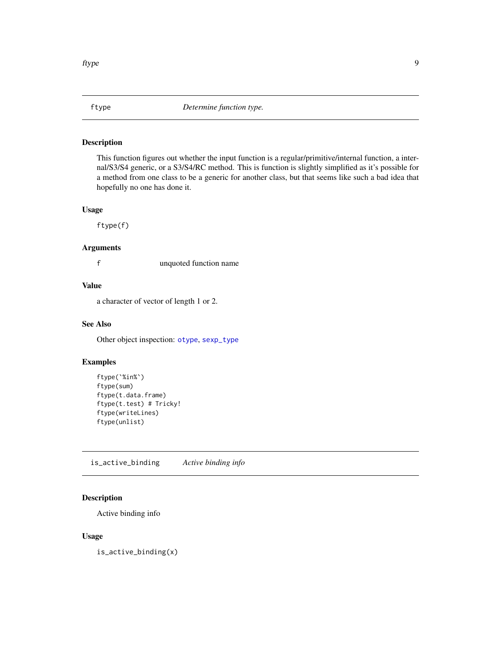<span id="page-8-1"></span><span id="page-8-0"></span>

This function figures out whether the input function is a regular/primitive/internal function, a internal/S3/S4 generic, or a S3/S4/RC method. This is function is slightly simplified as it's possible for a method from one class to be a generic for another class, but that seems like such a bad idea that hopefully no one has done it.

#### Usage

ftype(f)

#### Arguments

f unquoted function name

#### Value

a character of vector of length 1 or 2.

#### See Also

Other object inspection: [otype](#page-16-1), [sexp\\_type](#page-21-1)

#### Examples

```
ftype(`%in%`)
ftype(sum)
ftype(t.data.frame)
ftype(t.test) # Tricky!
ftype(writeLines)
ftype(unlist)
```
is\_active\_binding *Active binding info*

#### Description

Active binding info

#### Usage

is\_active\_binding(x)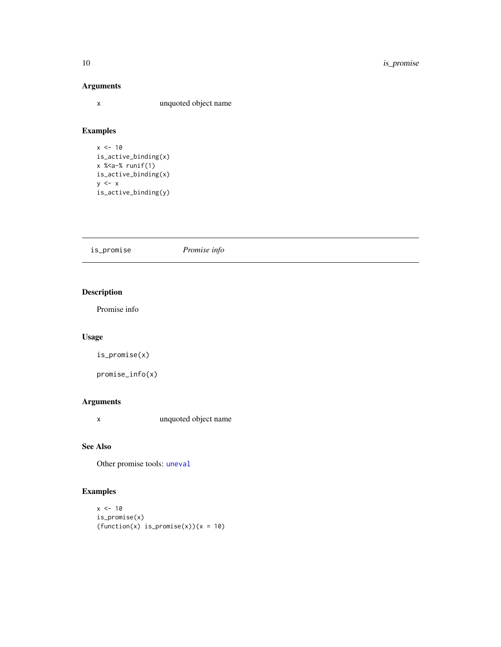x unquoted object name

# Examples

```
x < -10is_active_binding(x)
x %<a-% runif(1)
is_active_binding(x)
y \leq -xis_active_binding(y)
```
<span id="page-9-1"></span>

| is_promise | Promise info |  |
|------------|--------------|--|
|            |              |  |

# Description

Promise info

# Usage

is\_promise(x)

```
promise_info(x)
```
#### Arguments

x unquoted object name

#### See Also

Other promise tools: [uneval](#page-26-1)

```
x < -10is_promise(x)
(function(x) is\_promise(x))(x = 10)
```
<span id="page-9-0"></span>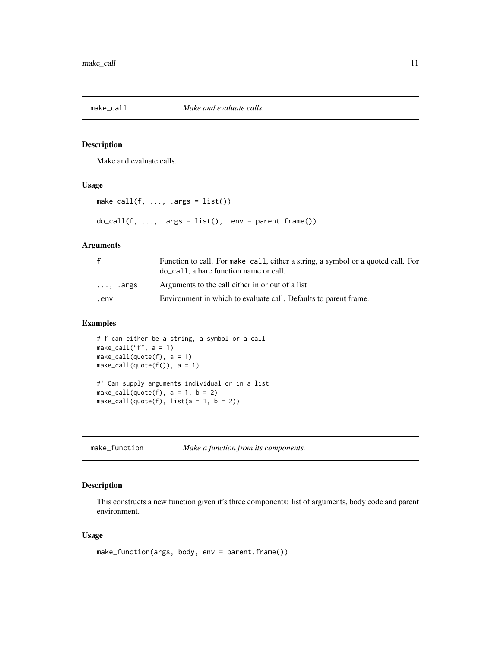<span id="page-10-0"></span>

Make and evaluate calls.

#### Usage

```
make\_call(f, ..., .args = list())do\_call(f, ..., args = list(), .env = parent-frame())
```
#### Arguments

| $\mathbf{f}$     | Function to call. For make_call, either a string, a symbol or a quoted call. For<br>do call, a bare function name or call. |
|------------------|----------------------------------------------------------------------------------------------------------------------------|
| $\ldots$ , .args | Arguments to the call either in or out of a list                                                                           |
| env.             | Environment in which to evaluate call. Defaults to parent frame.                                                           |

#### Examples

```
# f can either be a string, a symbol or a call
make_call("f", a = 1)
make\_call(quote(f), a = 1)make\_call(quote(f()), a = 1)#' Can supply arguments individual or in a list
make_call(quote(f), a = 1, b = 2)
make_call(quote(f), list(a = 1, b = 2))
```
make\_function *Make a function from its components.*

#### Description

This constructs a new function given it's three components: list of arguments, body code and parent environment.

#### Usage

```
make_function(args, body, env = parent.frame())
```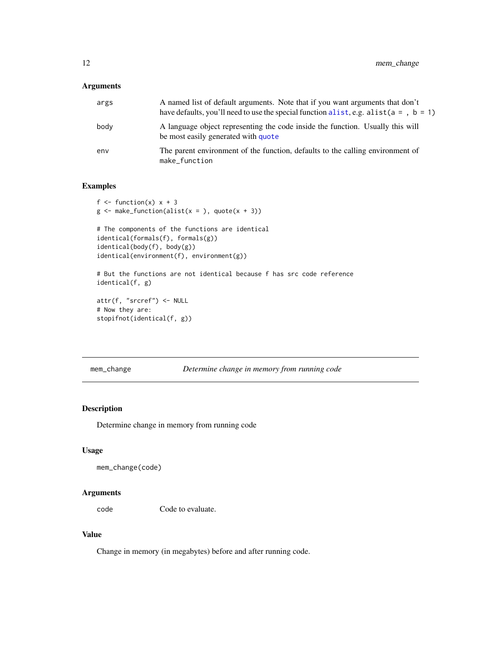<span id="page-11-0"></span>

| args | A named list of default arguments. Note that if you want arguments that don't<br>have defaults, you'll need to use the special function alist, e.g. alist ( $a = 0$ , $b = 1$ ) |
|------|---------------------------------------------------------------------------------------------------------------------------------------------------------------------------------|
| body | A language object representing the code inside the function. Usually this will<br>be most easily generated with quote                                                           |
| env  | The parent environment of the function, defaults to the calling environment of<br>make_function                                                                                 |

#### Examples

```
f \leftarrow function(x) x + 3g \leftarrow make_function(alist(x = ), quote(x + 3))
# The components of the functions are identical
identical(formals(f), formals(g))
identical(body(f), body(g))
identical(environment(f), environment(g))
# But the functions are not identical because f has src code reference
identical(f, g)
attr(f, "srcref") <- NULL
# Now they are:
```

```
stopifnot(identical(f, g))
```
mem\_change *Determine change in memory from running code*

#### Description

Determine change in memory from running code

#### Usage

```
mem_change(code)
```
#### Arguments

code Code to evaluate.

### Value

Change in memory (in megabytes) before and after running code.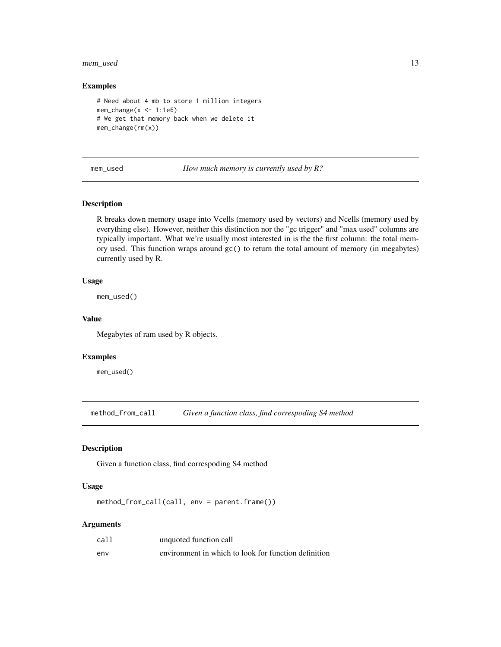#### <span id="page-12-0"></span>mem\_used 13

#### Examples

```
# Need about 4 mb to store 1 million integers
mem_change(x \le -1:1e6)
# We get that memory back when we delete it
mem_change(rm(x))
```
mem\_used *How much memory is currently used by R?*

#### Description

R breaks down memory usage into Vcells (memory used by vectors) and Ncells (memory used by everything else). However, neither this distinction nor the "gc trigger" and "max used" columns are typically important. What we're usually most interested in is the the first column: the total memory used. This function wraps around gc() to return the total amount of memory (in megabytes) currently used by R.

#### Usage

mem\_used()

#### Value

Megabytes of ram used by R objects.

#### Examples

mem\_used()

method\_from\_call *Given a function class, find correspoding S4 method*

#### Description

Given a function class, find correspoding S4 method

#### Usage

method\_from\_call(call, env = parent.frame())

#### Arguments

| call | unquoted function call                               |
|------|------------------------------------------------------|
| env  | environment in which to look for function definition |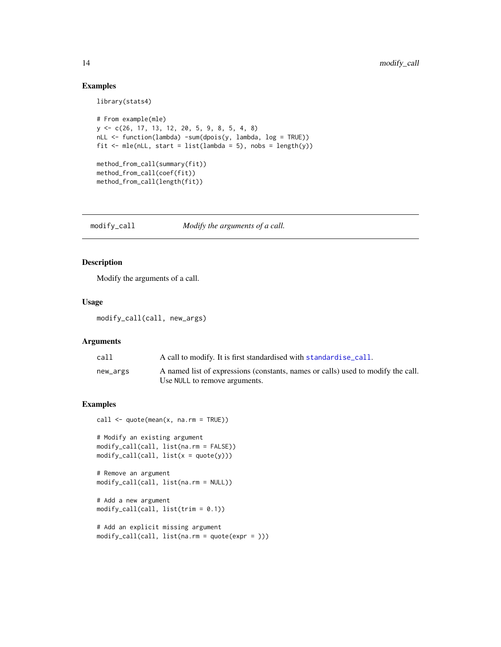#### Examples

```
library(stats4)
```

```
# From example(mle)
y <- c(26, 17, 13, 12, 20, 5, 9, 8, 5, 4, 8)
nLL <- function(lambda) -sum(dpois(y, lambda, log = TRUE))
fit \leq mle(nLL, start = list(lambda = 5), nobs = length(y))
method_from_call(summary(fit))
method_from_call(coef(fit))
method_from_call(length(fit))
```
modify\_call *Modify the arguments of a call.*

#### Description

Modify the arguments of a call.

#### Usage

modify\_call(call, new\_args)

### Arguments

| call     | A call to modify. It is first standardised with standardise_call.                                                 |
|----------|-------------------------------------------------------------------------------------------------------------------|
| new_args | A named list of expressions (constants, names or calls) used to modify the call.<br>Use NULL to remove arguments. |
|          |                                                                                                                   |

```
call \leq quote(mean(x, na.rm = TRUE))
```

```
# Modify an existing argument
modify_call(call, list(na.rm = FALSE))
modify_call(call, list(x = quote(y)))
```

```
# Remove an argument
modify_call(call, list(na.rm = NULL))
```

```
# Add a new argument
modify_call(call, list(trim = 0.1))
```

```
# Add an explicit missing argument
modify_call(call, list(na.rm = quote(expr = )))
```
<span id="page-13-0"></span>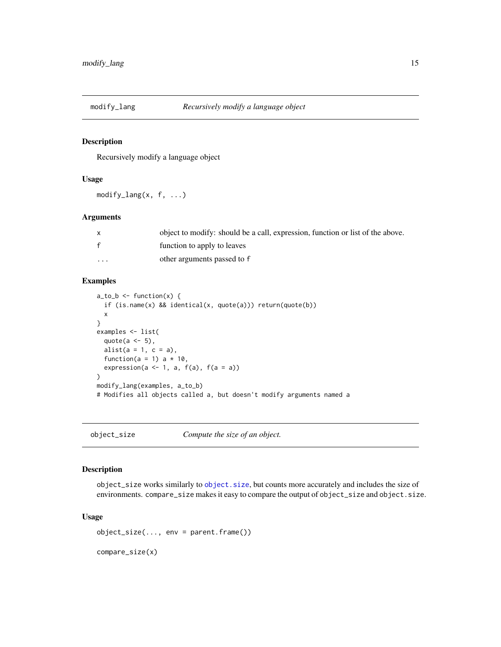<span id="page-14-0"></span>

Recursively modify a language object

#### Usage

 $modify\_lang(x, f, ...)$ 

#### Arguments

|          | object to modify: should be a call, expression, function or list of the above. |
|----------|--------------------------------------------------------------------------------|
| f        | function to apply to leaves                                                    |
| $\cdots$ | other arguments passed to f                                                    |

#### Examples

```
a_to_b \leftarrow function(x) {
  if (is.name(x) && identical(x, quote(a))) return(quote(b))
  x
}
examples <- list(
  quote(a \leq 5),
  alist(a = 1, c = a),function(a = 1) a * 10,
  expression(a \leftarrow 1, a, f(a), f(a = a))
)
modify_lang(examples, a_to_b)
# Modifies all objects called a, but doesn't modify arguments named a
```
object\_size *Compute the size of an object.*

#### Description

object\_size works similarly to [object.size](#page-0-0), but counts more accurately and includes the size of environments. compare\_size makes it easy to compare the output of object\_size and object.size.

#### Usage

```
object_size(..., env = parent.frame())
compare_size(x)
```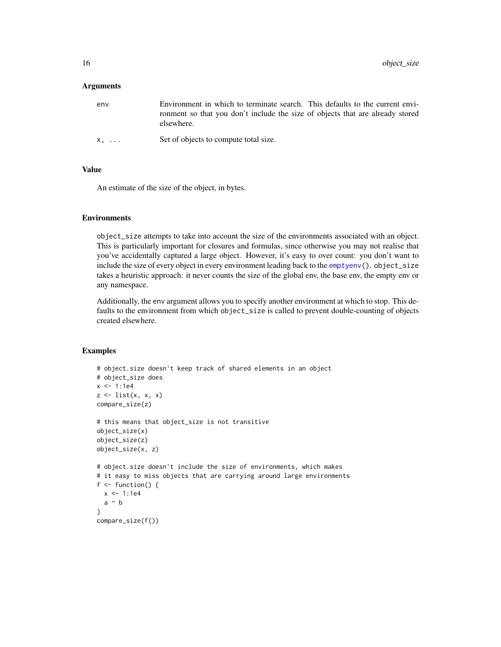<span id="page-15-0"></span>

| env         | Environment in which to terminate search. This defaults to the current envi-<br>ronment so that you don't include the size of objects that are already stored<br>elsewhere. |
|-------------|-----------------------------------------------------------------------------------------------------------------------------------------------------------------------------|
| $X, \ldots$ | Set of objects to compute total size.                                                                                                                                       |

#### Value

An estimate of the size of the object, in bytes.

#### Environments

object\_size attempts to take into account the size of the environments associated with an object. This is particularly important for closures and formulas, since otherwise you may not realise that you've accidentally captured a large object. However, it's easy to over count: you don't want to include the size of every object in every environment leading back to the [emptyenv\(](#page-0-0)). object\_size takes a heuristic approach: it never counts the size of the global env, the base env, the empty env or any namespace.

Additionally, the env argument allows you to specify another environment at which to stop. This defaults to the environment from which object\_size is called to prevent double-counting of objects created elsewhere.

```
# object.size doesn't keep track of shared elements in an object
# object_size does
x < -1:1e4z \leftarrow list(x, x, x)
compare_size(z)
# this means that object_size is not transitive
object_size(x)
object_size(z)
object_size(x, z)
# object.size doesn't include the size of environments, which makes
# it easy to miss objects that are carrying around large environments
f \leftarrow function() {
  x < -1:1e4a \sim b}
compare_size(f())
```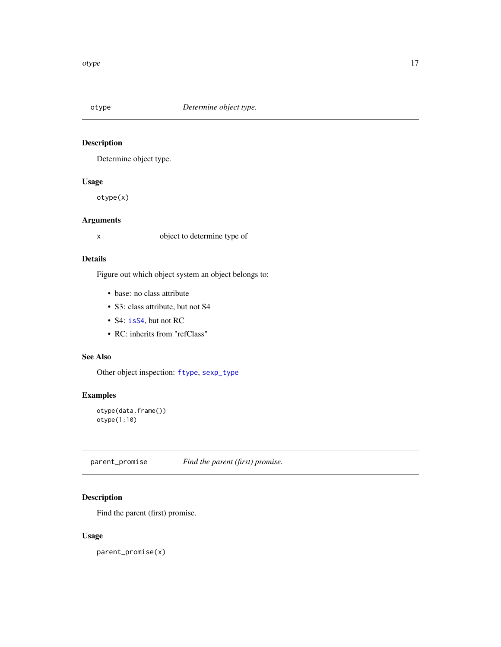<span id="page-16-1"></span><span id="page-16-0"></span>

Determine object type.

#### Usage

otype(x)

#### Arguments

x object to determine type of

#### Details

Figure out which object system an object belongs to:

- base: no class attribute
- S3: class attribute, but not S4
- S4: is S4, but not RC
- RC: inherits from "refClass"

#### See Also

Other object inspection: [ftype](#page-8-1), [sexp\\_type](#page-21-1)

# Examples

```
otype(data.frame())
otype(1:10)
```
parent\_promise *Find the parent (first) promise.*

#### Description

Find the parent (first) promise.

#### Usage

parent\_promise(x)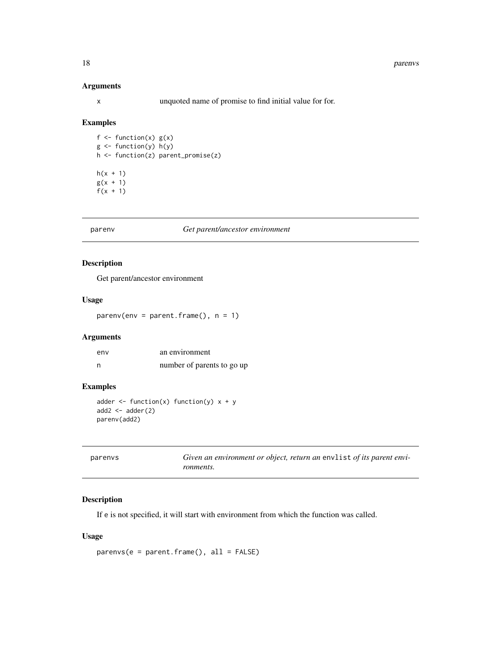x unquoted name of promise to find initial value for for.

#### Examples

```
f \leftarrow function(x) g(x)g \leftarrow function(y) h(y)h <- function(z) parent_promise(z)
h(x + 1)g(x + 1)f(x + 1)
```
#### parenv *Get parent/ancestor environment*

#### Description

Get parent/ancestor environment

#### Usage

 $parent frame(), n = 1)$ 

#### Arguments

| env | an environment             |
|-----|----------------------------|
| n   | number of parents to go up |

# Examples

```
adder \leq function(x) function(y) x + yadd2 \leftarrow \text{adder}(2)parenv(add2)
```

| parenys | Given an environment or object, return an envlist of its parent envi- |
|---------|-----------------------------------------------------------------------|
|         | ronments.                                                             |

#### Description

If e is not specified, it will start with environment from which the function was called.

#### Usage

```
parenvs(e = parent.frame(), all = FALSE)
```
<span id="page-17-0"></span>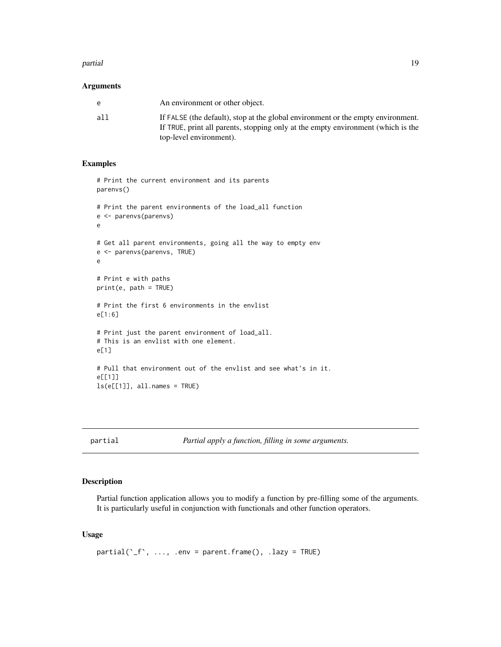#### <span id="page-18-0"></span>partial the contract of the contract of the contract of the contract of the contract of the contract of the contract of the contract of the contract of the contract of the contract of the contract of the contract of the co

#### **Arguments**

| e   | An environment or other object.                                                                                                                                      |
|-----|----------------------------------------------------------------------------------------------------------------------------------------------------------------------|
| all | If FALSE (the default), stop at the global environment or the empty environment.<br>If TRUE, print all parents, stopping only at the empty environment (which is the |
|     | top-level environment).                                                                                                                                              |

#### Examples

```
# Print the current environment and its parents
parenvs()
# Print the parent environments of the load_all function
e <- parenvs(parenvs)
e
# Get all parent environments, going all the way to empty env
e <- parenvs(parenvs, TRUE)
e
# Print e with paths
print(e, path = TRUE)
# Print the first 6 environments in the envlist
e[1:6]
# Print just the parent environment of load_all.
# This is an envlist with one element.
e[1]
# Pull that environment out of the envlist and see what's in it.
e[[1]]
ls(e[[1]], all.names = TRUE)
```
partial *Partial apply a function, filling in some arguments.*

#### Description

Partial function application allows you to modify a function by pre-filling some of the arguments. It is particularly useful in conjunction with functionals and other function operators.

#### Usage

 $partial('_f', ..., .env = parent-frame(), .lazy = TRUE)$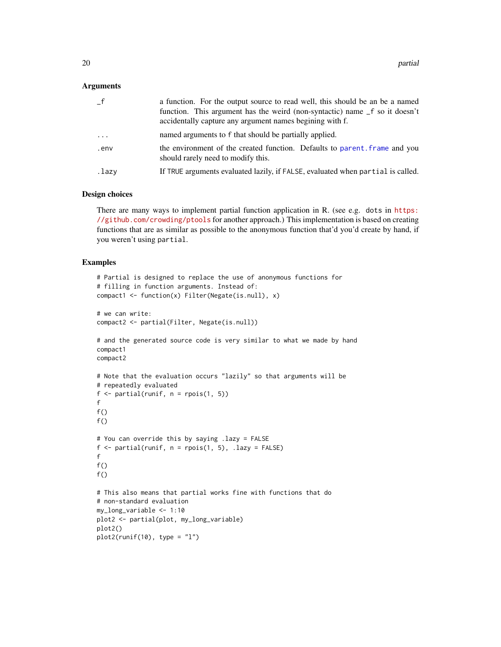<span id="page-19-0"></span>

|                         | a function. For the output source to read well, this should be an be a named<br>function. This argument has the weird (non-syntactic) name _f so it doesn't<br>accidentally capture any argument names begining with f. |
|-------------------------|-------------------------------------------------------------------------------------------------------------------------------------------------------------------------------------------------------------------------|
| $\cdot$ $\cdot$ $\cdot$ | named arguments to f that should be partially applied.                                                                                                                                                                  |
| .env                    | the environment of the created function. Defaults to parent. frame and you<br>should rarely need to modify this.                                                                                                        |
| .lazy                   | If TRUE arguments evaluated lazily, if FALSE, evaluated when partial is called.                                                                                                                                         |

#### Design choices

There are many ways to implement partial function application in R. (see e.g. dots in [https:](https://github.com/crowding/ptools) [//github.com/crowding/ptools](https://github.com/crowding/ptools) for another approach.) This implementation is based on creating functions that are as similar as possible to the anonymous function that'd you'd create by hand, if you weren't using partial.

```
# Partial is designed to replace the use of anonymous functions for
# filling in function arguments. Instead of:
compact1 <- function(x) Filter(Negate(is.null), x)
# we can write:
compact2 <- partial(Filter, Negate(is.null))
# and the generated source code is very similar to what we made by hand
compact1
compact2
# Note that the evaluation occurs "lazily" so that arguments will be
# repeatedly evaluated
f \leftarrow partial(runif, n = \text{rpois}(1, 5))
f
f()f()# You can override this by saying .lazy = FALSE
f \leftarrow partial(runif, n = \text{rpois}(1, 5), .lazy = FALSE)
f
f()f()# This also means that partial works fine with functions that do
# non-standard evaluation
my_long_variable <- 1:10
plot2 <- partial(plot, my_long_variable)
plot2()
plot2(runif(10), type = "l")
```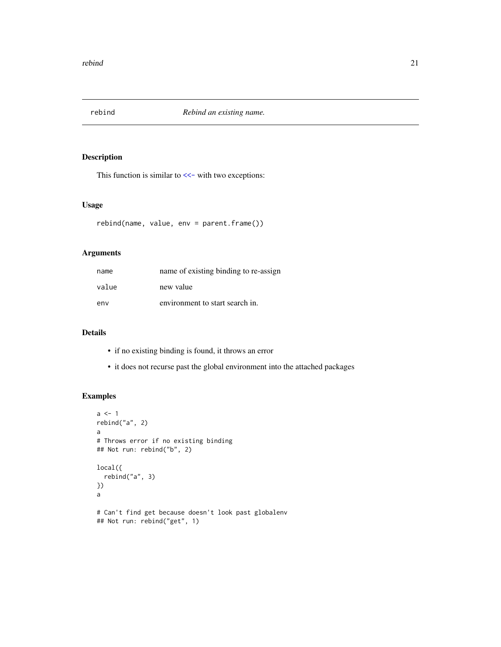<span id="page-20-0"></span>

This function is similar to [<<-](#page-0-0) with two exceptions:

#### Usage

rebind(name, value, env = parent.frame())

#### Arguments

| name  | name of existing binding to re-assign |
|-------|---------------------------------------|
| value | new value                             |
| env   | environment to start search in.       |

# Details

- if no existing binding is found, it throws an error
- it does not recurse past the global environment into the attached packages

```
a \leftarrow 1rebind("a", 2)
a
# Throws error if no existing binding
## Not run: rebind("b", 2)
local({
  rebind("a", 3)
})
a
# Can't find get because doesn't look past globalenv
## Not run: rebind("get", 1)
```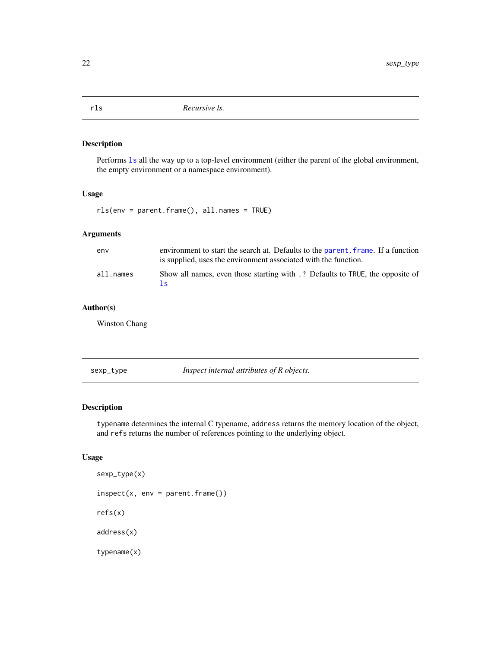<span id="page-21-0"></span>Performs [ls](#page-0-0) all the way up to a top-level environment (either the parent of the global environment, the empty environment or a namespace environment).

#### Usage

rls(env = parent.frame(), all.names = TRUE)

#### Arguments

| env       | environment to start the search at. Defaults to the parent, frame. If a function<br>is supplied, uses the environment associated with the function. |
|-----------|-----------------------------------------------------------------------------------------------------------------------------------------------------|
| all.names | Show all names, even those starting with .? Defaults to TRUE, the opposite of<br>Is.                                                                |

### Author(s)

Winston Chang

<span id="page-21-1"></span>sexp\_type *Inspect internal attributes of R objects.*

#### Description

typename determines the internal C typename, address returns the memory location of the object, and refs returns the number of references pointing to the underlying object.

#### Usage

```
sexp_type(x)
inspect(x, env = parent-frame())refs(x)
address(x)
typename(x)
```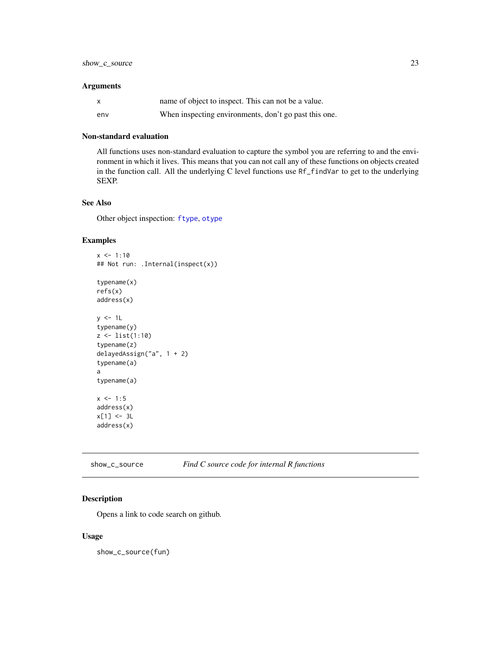<span id="page-22-0"></span>

| $\mathsf{x}$ | name of object to inspect. This can not be a value.   |
|--------------|-------------------------------------------------------|
| env          | When inspecting environments, don't go past this one. |

#### Non-standard evaluation

All functions uses non-standard evaluation to capture the symbol you are referring to and the environment in which it lives. This means that you can not call any of these functions on objects created in the function call. All the underlying C level functions use Rf\_findVar to get to the underlying SEXP.

#### See Also

Other object inspection: [ftype](#page-8-1), [otype](#page-16-1)

#### Examples

 $x < -1:10$ ## Not run: .Internal(inspect(x)) typename(x) refs(x) address(x)  $y \le -1$ typename(y) z <- list(1:10) typename(z) delayedAssign("a", 1 + 2) typename(a) a typename(a)  $x \le -1:5$ address(x)  $x[1]$  <- 3L address(x)

#### Description

Opens a link to code search on github.

#### Usage

show\_c\_source(fun)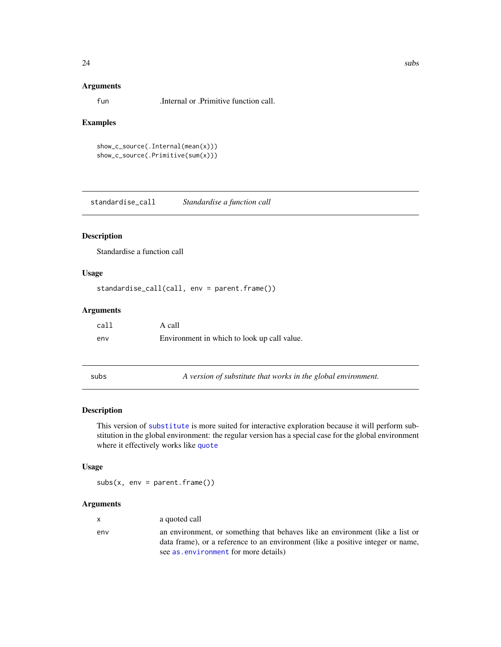<span id="page-23-0"></span>fun .Internal or .Primitive function call.

#### Examples

```
show_c_source(.Internal(mean(x)))
show_c_source(.Primitive(sum(x)))
```
<span id="page-23-1"></span>standardise\_call *Standardise a function call*

#### Description

Standardise a function call

#### Usage

```
standardise_call(call, env = parent.frame())
```
#### Arguments

| call | A call                                      |
|------|---------------------------------------------|
| env  | Environment in which to look up call value. |

subs *A version of substitute that works in the global environment.*

#### Description

This version of [substitute](#page-0-0) is more suited for interactive exploration because it will perform substitution in the global environment: the regular version has a special case for the global environment where it effectively works like [quote](#page-0-0)

#### Usage

 $subs(x, env = parent.frame())$ 

#### Arguments

| $\mathsf{x}$ | a quoted call                                                                                                                                                                                            |
|--------------|----------------------------------------------------------------------------------------------------------------------------------------------------------------------------------------------------------|
| env          | an environment, or something that behaves like an environment (like a list or<br>data frame), or a reference to an environment (like a positive integer or name,<br>see as environment for more details) |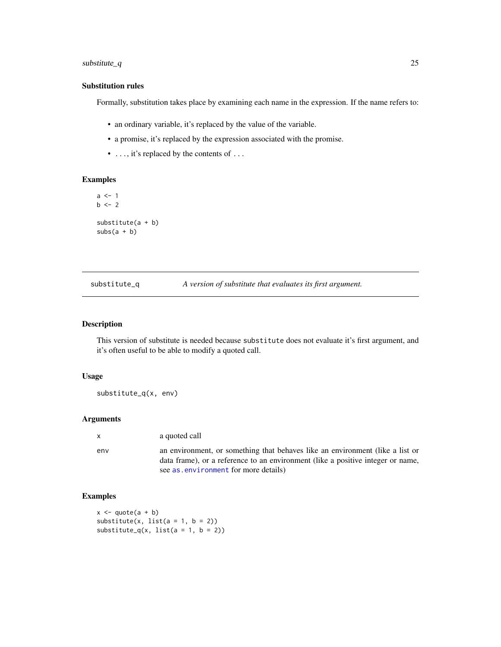#### <span id="page-24-0"></span>substitute\_q 25

#### Substitution rules

Formally, substitution takes place by examining each name in the expression. If the name refers to:

- an ordinary variable, it's replaced by the value of the variable.
- a promise, it's replaced by the expression associated with the promise.
- ..., it's replaced by the contents of ...

#### Examples

```
a \leq 1b \le -2substitute(a + b)
subs(a + b)
```

| substitute_q |  | A version of substitute that evaluates its first argument. |
|--------------|--|------------------------------------------------------------|
|--------------|--|------------------------------------------------------------|

#### Description

This version of substitute is needed because substitute does not evaluate it's first argument, and it's often useful to be able to modify a quoted call.

#### Usage

substitute\_q(x, env)

#### Arguments

env an environment, or something that behaves like an environment (like a list or data frame), or a reference to an environment (like a positive integer or name, see [as.environment](#page-0-0) for more details)

```
x \leftarrow quote(a + b)
substitute(x, list(a = 1, b = 2))substitute_q(x, list(a = 1, b = 2))
```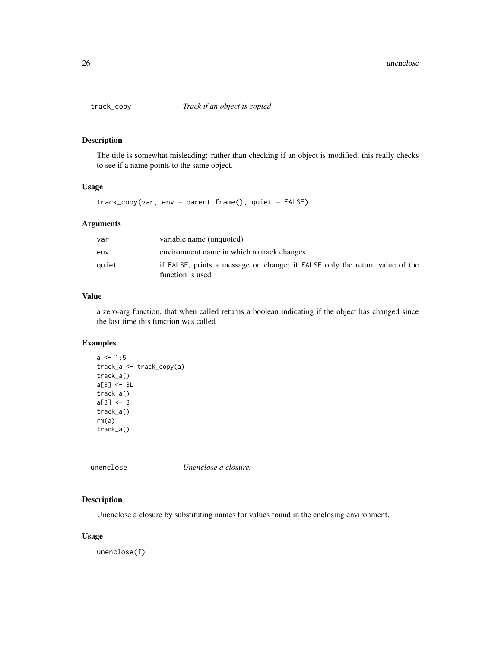<span id="page-25-0"></span>

The title is somewhat misleading: rather than checking if an object is modified, this really checks to see if a name points to the same object.

#### Usage

track\_copy(var, env = parent.frame(), quiet = FALSE)

#### Arguments

| var   | variable name (unquoted)                                                                        |
|-------|-------------------------------------------------------------------------------------------------|
| env   | environment name in which to track changes                                                      |
| quiet | if FALSE, prints a message on change; if FALSE only the return value of the<br>function is used |

# Value

a zero-arg function, that when called returns a boolean indicating if the object has changed since the last time this function was called

### Examples

```
a \le -1:5track_a <- track_copy(a)
track_a()
a[3] <- 3L
track_a()
a[3] <- 3
track_a()
rm(a)
track_a()
```

| unenclose | Unenclose a closure. |  |
|-----------|----------------------|--|
|           |                      |  |

#### Description

Unenclose a closure by substituting names for values found in the enclosing environment.

#### Usage

unenclose(f)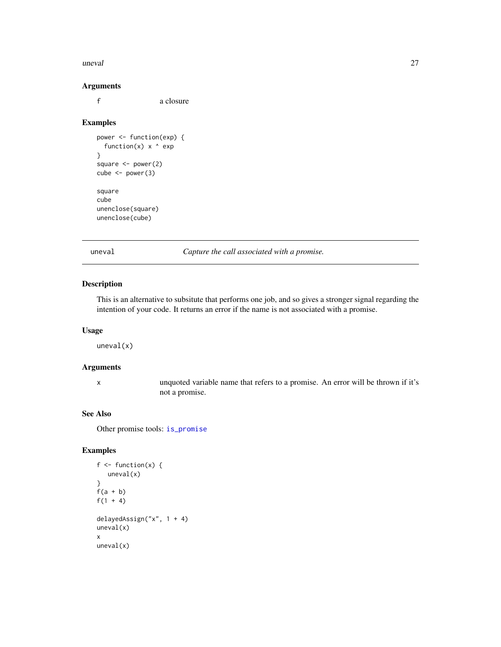#### <span id="page-26-0"></span>uneval 27

#### Arguments

f a closure

#### Examples

```
power <- function(exp) {
  function(x) x \wedge exp
}
square <- power(2)
cube <- power(3)
square
cube
unenclose(square)
unenclose(cube)
```
<span id="page-26-1"></span>uneval *Capture the call associated with a promise.*

#### Description

This is an alternative to subsitute that performs one job, and so gives a stronger signal regarding the intention of your code. It returns an error if the name is not associated with a promise.

#### Usage

uneval(x)

# Arguments

x unquoted variable name that refers to a promise. An error will be thrown if it's not a promise.

# See Also

Other promise tools: [is\\_promise](#page-9-1)

```
f \leftarrow function(x) {
   uneval(x)
}
f(a + b)f(1 + 4)delayedAssign("x", 1 + 4)
uneval(x)
x
uneval(x)
```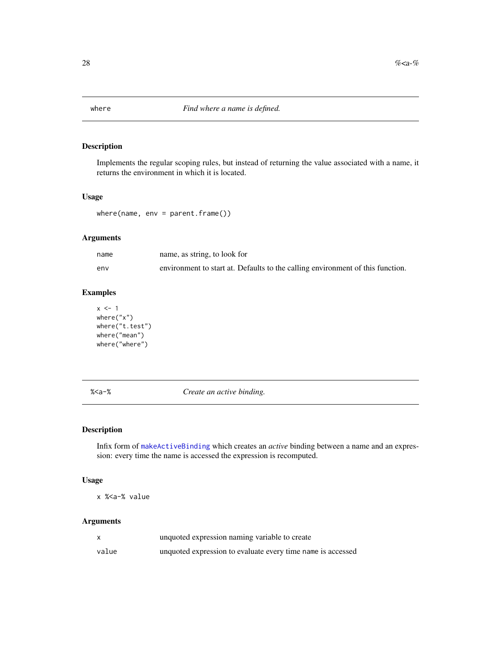<span id="page-27-0"></span>

Implements the regular scoping rules, but instead of returning the value associated with a name, it returns the environment in which it is located.

#### Usage

where(name, env = parent.frame())

#### Arguments

| name | name, as string, to look for                                                   |
|------|--------------------------------------------------------------------------------|
| env  | environment to start at. Defaults to the calling environment of this function. |

#### Examples

```
x \le -1where("x")
where("t.test")
where("mean")
where("where")
```
%<a-% *Create an active binding.*

#### Description

Infix form of [makeActiveBinding](#page-0-0) which creates an *active* binding between a name and an expression: every time the name is accessed the expression is recomputed.

#### Usage

x %<a-% value

#### Arguments

|       | unquoted expression naming variable to create               |
|-------|-------------------------------------------------------------|
| value | unquoted expression to evaluate every time name is accessed |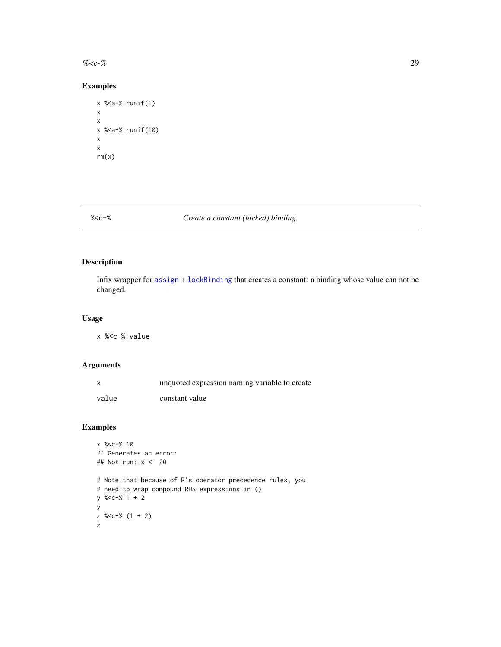<span id="page-28-0"></span> $\%$  < c-% 29

# Examples

```
x %<a-% runif(1)
x
x
x %<a-% runif(10)
x
x
rm(x)
```
# %<c-% *Create a constant (locked) binding.*

# Description

Infix wrapper for [assign](#page-0-0) + [lockBinding](#page-0-0) that creates a constant: a binding whose value can not be changed.

#### Usage

x %<c-% value

#### Arguments

|       | unquoted expression naming variable to create |
|-------|-----------------------------------------------|
| value | constant value                                |

```
x %<c-% 10
#' Generates an error:
## Not run: x <- 20
# Note that because of R's operator precedence rules, you
# need to wrap compound RHS expressions in ()
y %<c-% 1 + 2
y
z %<c-% (1 + 2)
z
```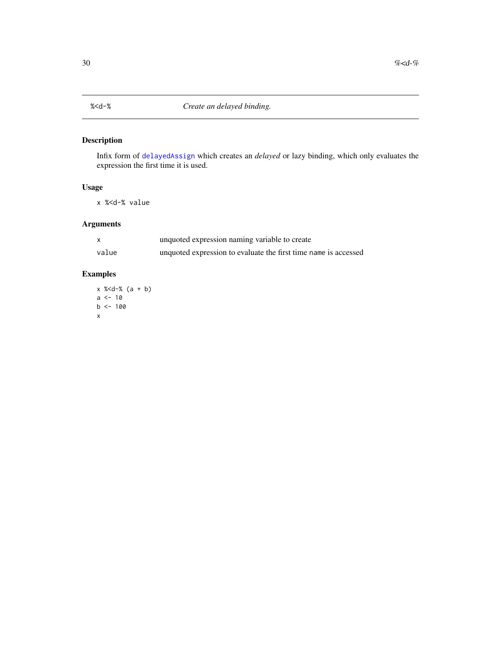<span id="page-29-0"></span>Infix form of [delayedAssign](#page-0-0) which creates an *delayed* or lazy binding, which only evaluates the expression the first time it is used.

#### Usage

x %<d-% value

# Arguments

|       | unquoted expression naming variable to create                   |
|-------|-----------------------------------------------------------------|
| value | unquoted expression to evaluate the first time name is accessed |

# Examples

x %<d-% (a + b)  $a < -10$  $b$  <- 100 x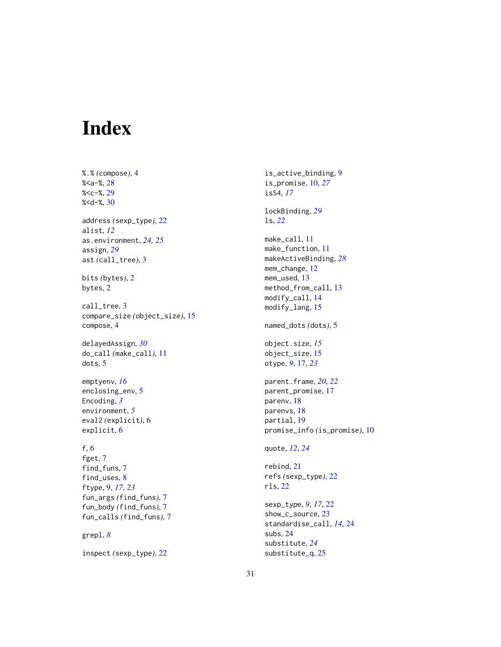# <span id="page-30-0"></span>Index

%.% *(*compose*)*, [4](#page-3-0)  $%- $%$ , [28](#page-27-0)$ %<c-%, [29](#page-28-0) %<d-%, [30](#page-29-0) address *(*sexp\_type*)*, [22](#page-21-0) alist, *[12](#page-11-0)* as.environment, *[24,](#page-23-0) [25](#page-24-0)* assign, *[29](#page-28-0)* ast *(*call\_tree*)*, [3](#page-2-0) bits *(*bytes*)*, [2](#page-1-0) bytes, [2](#page-1-0) call\_tree, [3](#page-2-0) compare\_size *(*object\_size*)*, [15](#page-14-0) compose, [4](#page-3-0) delayedAssign, *[30](#page-29-0)* do\_call *(*make\_call*)*, [11](#page-10-0) dots, [5](#page-4-0) emptyenv, *[16](#page-15-0)* enclosing\_env, [5](#page-4-0) Encoding, *[3](#page-2-0)* environment, *[5](#page-4-0)* eval2 *(*explicit*)*, [6](#page-5-0) explicit, [6](#page-5-0) f, [6](#page-5-0) fget, [7](#page-6-0) find\_funs, [7](#page-6-0) find\_uses, [8](#page-7-0) ftype, [9,](#page-8-0) *[17](#page-16-0)*, *[23](#page-22-0)* fun\_args *(*find\_funs*)*, [7](#page-6-0) fun\_body *(*find\_funs*)*, [7](#page-6-0) fun\_calls *(*find\_funs*)*, [7](#page-6-0) grepl, *[8](#page-7-0)*

inspect *(*sexp\_type*)*, [22](#page-21-0)

is\_active\_binding, [9](#page-8-0) is\_promise, [10,](#page-9-0) *[27](#page-26-0)* isS4, *[17](#page-16-0)* lockBinding, *[29](#page-28-0)* ls, *[22](#page-21-0)* make\_call, [11](#page-10-0) make\_function, [11](#page-10-0) makeActiveBinding, *[28](#page-27-0)* mem\_change, [12](#page-11-0) mem\_used, [13](#page-12-0) method\_from\_call, [13](#page-12-0) modify\_call, [14](#page-13-0) modify\_lang, [15](#page-14-0) named\_dots *(*dots*)*, [5](#page-4-0) object.size, *[15](#page-14-0)* object\_size, [15](#page-14-0) otype, *[9](#page-8-0)*, [17,](#page-16-0) *[23](#page-22-0)* parent.frame, *[20](#page-19-0)*, *[22](#page-21-0)* parent\_promise, [17](#page-16-0) parenv, [18](#page-17-0) parenvs, [18](#page-17-0) partial, [19](#page-18-0) promise\_info *(*is\_promise*)*, [10](#page-9-0) quote, *[12](#page-11-0)*, *[24](#page-23-0)* rebind, [21](#page-20-0) refs *(*sexp\_type*)*, [22](#page-21-0) rls, [22](#page-21-0) sexp\_type, *[9](#page-8-0)*, *[17](#page-16-0)*, [22](#page-21-0) show\_c\_source, [23](#page-22-0) standardise\_call, *[14](#page-13-0)*, [24](#page-23-0)

subs, [24](#page-23-0) substitute, *[24](#page-23-0)* substitute\_q, [25](#page-24-0)